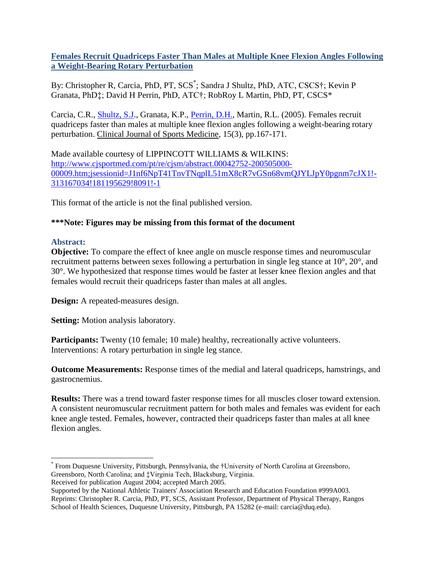# **Females Recruit Quadriceps Faster Than Males at Multiple Knee Flexion Angles Following a Weight-Bearing Rotary Perturbation**

By: Christopher R, Carcia, PhD, PT, SCS\* ; Sandra J Shultz, PhD, ATC, CSCS†; Kevin P Granata, PhD‡; David H Perrin, PhD, ATC†; RobRoy L Martin, PhD, PT, CSCS\*

Carcia, C.R., [Shultz, S.J.](http://libres.uncg.edu/ir/uncg/clist.aspx?id=2284), Granata, K.P., [Perrin, D.H.,](http://libres.uncg.edu/ir/uncg/clist.aspx?id=1495) Martin, R.L. (2005). Females recruit quadriceps faster than males at multiple knee flexion angles following a weight-bearing rotary perturbation. Clinical Journal of Sports Medicine, 15(3), pp.167-171.

Made available courtesy of LIPPINCOTT WILLIAMS & WILKINS: [http://www.cjsportmed.com/pt/re/cjsm/abstract.00042752-200505000-](http://www.cjsportmed.com/pt/re/cjsm/abstract.00042752-200505000-00009.htm;jsessionid=J1nf6NpT41TnvTNqplL51mX8cR7vGSn68vmQJYLJpY0pgnm7cJX1!-313167034!181195629!8091!-1) [00009.htm;jsessionid=J1nf6NpT41TnvTNqplL51mX8cR7vGSn68vmQJYLJpY0pgnm7cJX1!-](http://www.cjsportmed.com/pt/re/cjsm/abstract.00042752-200505000-00009.htm;jsessionid=J1nf6NpT41TnvTNqplL51mX8cR7vGSn68vmQJYLJpY0pgnm7cJX1!-313167034!181195629!8091!-1) [313167034!181195629!8091!-1](http://www.cjsportmed.com/pt/re/cjsm/abstract.00042752-200505000-00009.htm;jsessionid=J1nf6NpT41TnvTNqplL51mX8cR7vGSn68vmQJYLJpY0pgnm7cJX1!-313167034!181195629!8091!-1)

This format of the article is not the final published version.

# **\*\*\*Note: Figures may be missing from this format of the document**

# **Abstract:**

 $\overline{a}$ 

**Objective:** To compare the effect of knee angle on muscle response times and neuromuscular recruitment patterns between sexes following a perturbation in single leg stance at 10°, 20°, and 30°. We hypothesized that response times would be faster at lesser knee flexion angles and that females would recruit their quadriceps faster than males at all angles.

**Design:** A repeated-measures design.

**Setting:** Motion analysis laboratory.

**Participants:** Twenty (10 female; 10 male) healthy, recreationally active volunteers. Interventions: A rotary perturbation in single leg stance.

**Outcome Measurements:** Response times of the medial and lateral quadriceps, hamstrings, and gastrocnemius.

**Results:** There was a trend toward faster response times for all muscles closer toward extension. A consistent neuromuscular recruitment pattern for both males and females was evident for each knee angle tested. Females, however, contracted their quadriceps faster than males at all knee flexion angles.

Received for publication August 2004; accepted March 2005.

<sup>\*</sup> From Duquesne University, Pittsburgh, Pennsylvania, the †University of North Carolina at Greensboro, Greensboro, North Carolina; and ‡Virginia Tech, Blacksburg, Virginia.

Supported by the National Athletic Trainers' Association Research and Education Foundation #999A003. Reprints: Christopher R. Carcia, PhD, PT, SCS, Assistant Professor, Department of Physical Therapy, Rangos School of Health Sciences, Duquesne University, Pittsburgh, PA 15282 (e-mail: carcia@duq.edu).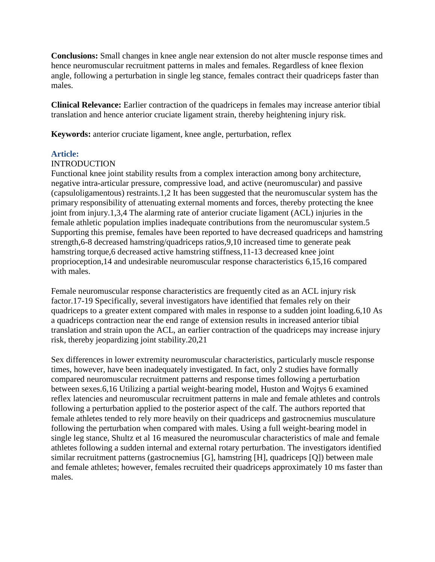**Conclusions:** Small changes in knee angle near extension do not alter muscle response times and hence neuromuscular recruitment patterns in males and females. Regardless of knee flexion angle, following a perturbation in single leg stance, females contract their quadriceps faster than males.

**Clinical Relevance:** Earlier contraction of the quadriceps in females may increase anterior tibial translation and hence anterior cruciate ligament strain, thereby heightening injury risk.

**Keywords:** anterior cruciate ligament, knee angle, perturbation, reflex

# **Article:**

# **INTRODUCTION**

Functional knee joint stability results from a complex interaction among bony architecture, negative intra-articular pressure, compressive load, and active (neuromuscular) and passive (capsuloligamentous) restraints.1,2 It has been suggested that the neuromuscular system has the primary responsibility of attenuating external moments and forces, thereby protecting the knee joint from injury.1,3,4 The alarming rate of anterior cruciate ligament (ACL) injuries in the female athletic population implies inadequate contributions from the neuromuscular system.5 Supporting this premise, females have been reported to have decreased quadriceps and hamstring strength,6-8 decreased hamstring/quadriceps ratios,9,10 increased time to generate peak hamstring torque,6 decreased active hamstring stiffness,11-13 decreased knee joint proprioception,14 and undesirable neuromuscular response characteristics 6,15,16 compared with males.

Female neuromuscular response characteristics are frequently cited as an ACL injury risk factor.17-19 Specifically, several investigators have identified that females rely on their quadriceps to a greater extent compared with males in response to a sudden joint loading.6,10 As a quadriceps contraction near the end range of extension results in increased anterior tibial translation and strain upon the ACL, an earlier contraction of the quadriceps may increase injury risk, thereby jeopardizing joint stability.20,21

Sex differences in lower extremity neuromuscular characteristics, particularly muscle response times, however, have been inadequately investigated. In fact, only 2 studies have formally compared neuromuscular recruitment patterns and response times following a perturbation between sexes.6,16 Utilizing a partial weight-bearing model, Huston and Wojtys 6 examined reflex latencies and neuromuscular recruitment patterns in male and female athletes and controls following a perturbation applied to the posterior aspect of the calf. The authors reported that female athletes tended to rely more heavily on their quadriceps and gastrocnemius musculature following the perturbation when compared with males. Using a full weight-bearing model in single leg stance, Shultz et al 16 measured the neuromuscular characteristics of male and female athletes following a sudden internal and external rotary perturbation. The investigators identified similar recruitment patterns (gastrocnemius [G], hamstring [H], quadriceps [Q]) between male and female athletes; however, females recruited their quadriceps approximately 10 ms faster than males.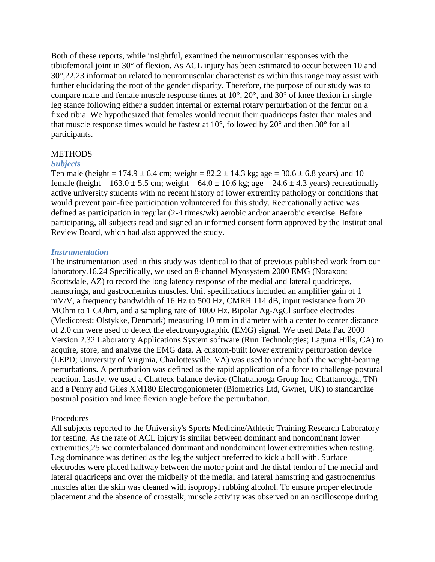Both of these reports, while insightful, examined the neuromuscular responses with the tibiofemoral joint in 30° of flexion. As ACL injury has been estimated to occur between 10 and 30°,22,23 information related to neuromuscular characteristics within this range may assist with further elucidating the root of the gender disparity. Therefore, the purpose of our study was to compare male and female muscle response times at 10°, 20°, and 30° of knee flexion in single leg stance following either a sudden internal or external rotary perturbation of the femur on a fixed tibia. We hypothesized that females would recruit their quadriceps faster than males and that muscle response times would be fastest at 10°, followed by 20° and then 30° for all participants.

#### **METHODS**

#### *Subjects*

Ten male (height =  $174.9 \pm 6.4$  cm; weight =  $82.2 \pm 14.3$  kg; age =  $30.6 \pm 6.8$  years) and 10 female (height =  $163.0 \pm 5.5$  cm; weight =  $64.0 \pm 10.6$  kg; age =  $24.6 \pm 4.3$  years) recreationally active university students with no recent history of lower extremity pathology or conditions that would prevent pain-free participation volunteered for this study. Recreationally active was defined as participation in regular (2-4 times/wk) aerobic and/or anaerobic exercise. Before participating, all subjects read and signed an informed consent form approved by the Institutional Review Board, which had also approved the study.

#### *Instrumentation*

The instrumentation used in this study was identical to that of previous published work from our laboratory.16,24 Specifically, we used an 8-channel Myosystem 2000 EMG (Noraxon; Scottsdale, AZ) to record the long latency response of the medial and lateral quadriceps, hamstrings, and gastrocnemius muscles. Unit specifications included an amplifier gain of 1 mV/V, a frequency bandwidth of 16 Hz to 500 Hz, CMRR 114 dB, input resistance from 20 MOhm to 1 GOhm, and a sampling rate of 1000 Hz. Bipolar Ag-AgCl surface electrodes (Medicotest; Olstykke, Denmark) measuring 10 mm in diameter with a center to center distance of 2.0 cm were used to detect the electromyographic (EMG) signal. We used Data Pac 2000 Version 2.32 Laboratory Applications System software (Run Technologies; Laguna Hills, CA) to acquire, store, and analyze the EMG data. A custom-built lower extremity perturbation device (LEPD; University of Virginia, Charlottesville, VA) was used to induce both the weight-bearing perturbations. A perturbation was defined as the rapid application of a force to challenge postural reaction. Lastly, we used a Chattecx balance device (Chattanooga Group Inc, Chattanooga, TN) and a Penny and Giles XM180 Electrogoniometer (Biometrics Ltd, Gwnet, UK) to standardize postural position and knee flexion angle before the perturbation.

## Procedures

All subjects reported to the University's Sports Medicine/Athletic Training Research Laboratory for testing. As the rate of ACL injury is similar between dominant and nondominant lower extremities,25 we counterbalanced dominant and nondominant lower extremities when testing. Leg dominance was defined as the leg the subject preferred to kick a ball with. Surface electrodes were placed halfway between the motor point and the distal tendon of the medial and lateral quadriceps and over the midbelly of the medial and lateral hamstring and gastrocnemius muscles after the skin was cleaned with isopropyl rubbing alcohol. To ensure proper electrode placement and the absence of crosstalk, muscle activity was observed on an oscilloscope during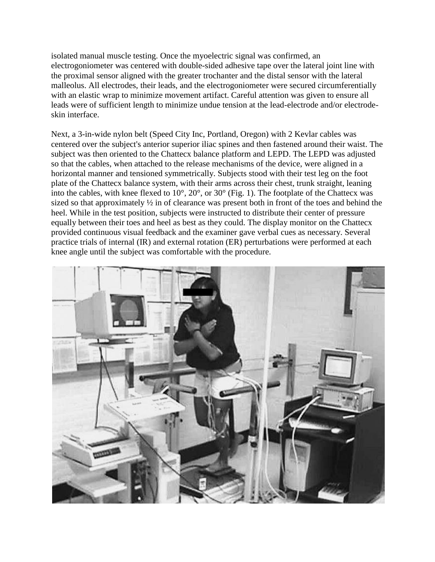isolated manual muscle testing. Once the myoelectric signal was confirmed, an electrogoniometer was centered with double-sided adhesive tape over the lateral joint line with the proximal sensor aligned with the greater trochanter and the distal sensor with the lateral malleolus. All electrodes, their leads, and the electrogoniometer were secured circumferentially with an elastic wrap to minimize movement artifact. Careful attention was given to ensure all leads were of sufficient length to minimize undue tension at the lead-electrode and/or electrodeskin interface.

Next, a 3-in-wide nylon belt (Speed City Inc, Portland, Oregon) with 2 Kevlar cables was centered over the subject's anterior superior iliac spines and then fastened around their waist. The subject was then oriented to the Chattecx balance platform and LEPD. The LEPD was adjusted so that the cables, when attached to the release mechanisms of the device, were aligned in a horizontal manner and tensioned symmetrically. Subjects stood with their test leg on the foot plate of the Chattecx balance system, with their arms across their chest, trunk straight, leaning into the cables, with knee flexed to  $10^{\circ}$ ,  $20^{\circ}$ , or  $30^{\circ}$  (Fig. 1). The footplate of the Chattecx was sized so that approximately ½ in of clearance was present both in front of the toes and behind the heel. While in the test position, subjects were instructed to distribute their center of pressure equally between their toes and heel as best as they could. The display monitor on the Chattecx provided continuous visual feedback and the examiner gave verbal cues as necessary. Several practice trials of internal (IR) and external rotation (ER) perturbations were performed at each knee angle until the subject was comfortable with the procedure.

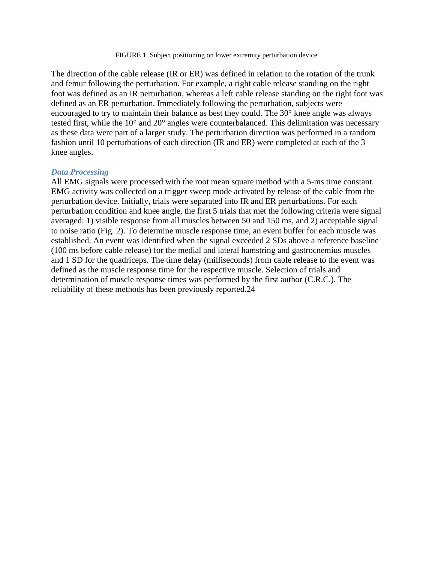The direction of the cable release (IR or ER) was defined in relation to the rotation of the trunk and femur following the perturbation. For example, a right cable release standing on the right foot was defined as an IR perturbation, whereas a left cable release standing on the right foot was defined as an ER perturbation. Immediately following the perturbation, subjects were encouraged to try to maintain their balance as best they could. The 30° knee angle was always tested first, while the 10° and 20° angles were counterbalanced. This delimitation was necessary as these data were part of a larger study. The perturbation direction was performed in a random fashion until 10 perturbations of each direction (IR and ER) were completed at each of the 3 knee angles.

#### *Data Processing*

All EMG signals were processed with the root mean square method with a 5-ms time constant. EMG activity was collected on a trigger sweep mode activated by release of the cable from the perturbation device. Initially, trials were separated into IR and ER perturbations. For each perturbation condition and knee angle, the first 5 trials that met the following criteria were signal averaged: 1) visible response from all muscles between 50 and 150 ms, and 2) acceptable signal to noise ratio (Fig. 2). To determine muscle response time, an event buffer for each muscle was established. An event was identified when the signal exceeded 2 SDs above a reference baseline (100 ms before cable release) for the medial and lateral hamstring and gastrocnemius muscles and 1 SD for the quadriceps. The time delay (milliseconds) from cable release to the event was defined as the muscle response time for the respective muscle. Selection of trials and determination of muscle response times was performed by the first author (C.R.C.). The reliability of these methods has been previously reported.24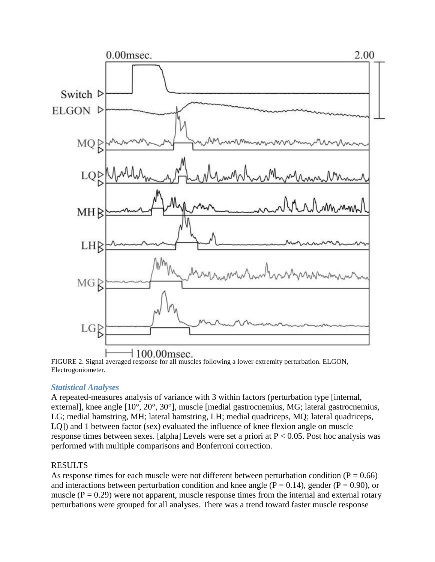

FIGURE 2. Signal averaged response for all muscles following a lower extremity perturbation. ELGON, Electrogoniometer.

## *Statistical Analyses*

A repeated-measures analysis of variance with 3 within factors (perturbation type [internal, external], knee angle [10°, 20°, 30°], muscle [medial gastrocnemius, MG; lateral gastrocnemius, LG; medial hamstring, MH; lateral hamstring, LH; medial quadriceps, MQ; lateral quadriceps, LQ]) and 1 between factor (sex) evaluated the influence of knee flexion angle on muscle response times between sexes. [alpha] Levels were set a priori at P < 0.05. Post hoc analysis was performed with multiple comparisons and Bonferroni correction.

## RESULTS

As response times for each muscle were not different between perturbation condition ( $P = 0.66$ ) and interactions between perturbation condition and knee angle ( $P = 0.14$ ), gender ( $P = 0.90$ ), or muscle  $(P = 0.29)$  were not apparent, muscle response times from the internal and external rotary perturbations were grouped for all analyses. There was a trend toward faster muscle response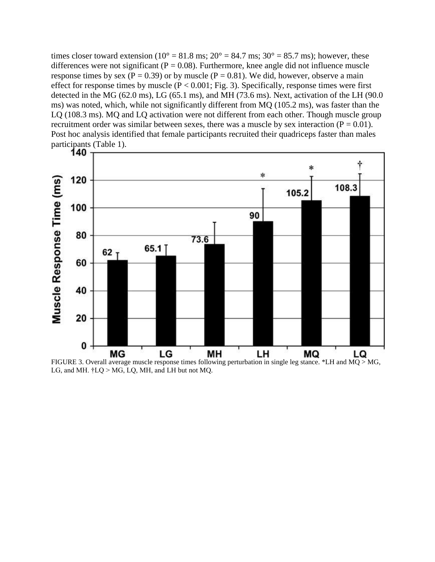times closer toward extension ( $10^{\circ} = 81.8$  ms;  $20^{\circ} = 84.7$  ms;  $30^{\circ} = 85.7$  ms); however, these differences were not significant ( $P = 0.08$ ). Furthermore, knee angle did not influence muscle response times by sex ( $P = 0.39$ ) or by muscle ( $P = 0.81$ ). We did, however, observe a main effect for response times by muscle ( $P < 0.001$ ; Fig. 3). Specifically, response times were first detected in the MG (62.0 ms), LG (65.1 ms), and MH (73.6 ms). Next, activation of the LH (90.0) ms) was noted, which, while not significantly different from MQ (105.2 ms), was faster than the LQ (108.3 ms). MQ and LQ activation were not different from each other. Though muscle group recruitment order was similar between sexes, there was a muscle by sex interaction ( $P = 0.01$ ). Post hoc analysis identified that female participants recruited their quadriceps faster than males participants (Table 1).<br>**140**  $\tau$ 



FIGURE 3. Overall average muscle response times following perturbation in single leg stance. \*LH and MQ > MG, LG, and MH.  $\ddagger$ LQ > MG, LQ, MH, and LH but not MQ.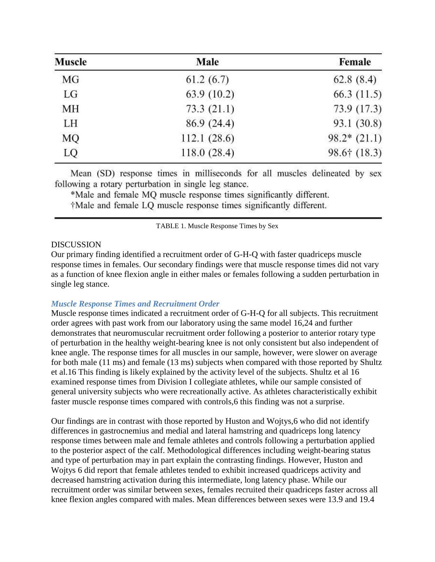| <b>Muscle</b> | Male        | Female                 |
|---------------|-------------|------------------------|
| MG            | 61.2(6.7)   | 62.8(8.4)              |
| LG            | 63.9(10.2)  | 66.3(11.5)             |
| МH            | 73.3(21.1)  | 73.9 (17.3)            |
| LH            | 86.9 (24.4) | 93.1 (30.8)            |
| MQ            | 112.1(28.6) | $98.2*(21.1)$          |
| LQ            | 118.0(28.4) | $98.6 \uparrow (18.3)$ |

Mean (SD) response times in milliseconds for all muscles delineated by sex following a rotary perturbation in single leg stance.

\*Male and female MQ muscle response times significantly different.

†Male and female LQ muscle response times significantly different.

TABLE 1. Muscle Response Times by Sex

#### DISCUSSION

Our primary finding identified a recruitment order of G-H-Q with faster quadriceps muscle response times in females. Our secondary findings were that muscle response times did not vary as a function of knee flexion angle in either males or females following a sudden perturbation in single leg stance.

## *Muscle Response Times and Recruitment Order*

Muscle response times indicated a recruitment order of G-H-Q for all subjects. This recruitment order agrees with past work from our laboratory using the same model 16,24 and further demonstrates that neuromuscular recruitment order following a posterior to anterior rotary type of perturbation in the healthy weight-bearing knee is not only consistent but also independent of knee angle. The response times for all muscles in our sample, however, were slower on average for both male (11 ms) and female (13 ms) subjects when compared with those reported by Shultz et al.16 This finding is likely explained by the activity level of the subjects. Shultz et al 16 examined response times from Division I collegiate athletes, while our sample consisted of general university subjects who were recreationally active. As athletes characteristically exhibit faster muscle response times compared with controls,6 this finding was not a surprise.

Our findings are in contrast with those reported by Huston and Wojtys,6 who did not identify differences in gastrocnemius and medial and lateral hamstring and quadriceps long latency response times between male and female athletes and controls following a perturbation applied to the posterior aspect of the calf. Methodological differences including weight-bearing status and type of perturbation may in part explain the contrasting findings. However, Huston and Wojtys 6 did report that female athletes tended to exhibit increased quadriceps activity and decreased hamstring activation during this intermediate, long latency phase. While our recruitment order was similar between sexes, females recruited their quadriceps faster across all knee flexion angles compared with males. Mean differences between sexes were 13.9 and 19.4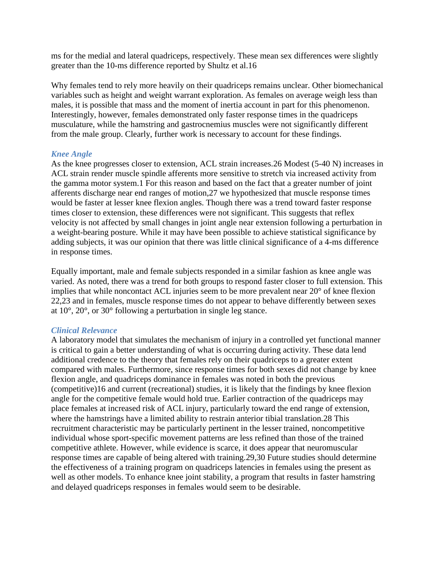ms for the medial and lateral quadriceps, respectively. These mean sex differences were slightly greater than the 10-ms difference reported by Shultz et al.16

Why females tend to rely more heavily on their quadriceps remains unclear. Other biomechanical variables such as height and weight warrant exploration. As females on average weigh less than males, it is possible that mass and the moment of inertia account in part for this phenomenon. Interestingly, however, females demonstrated only faster response times in the quadriceps musculature, while the hamstring and gastrocnemius muscles were not significantly different from the male group. Clearly, further work is necessary to account for these findings.

## *Knee Angle*

As the knee progresses closer to extension, ACL strain increases.26 Modest (5-40 N) increases in ACL strain render muscle spindle afferents more sensitive to stretch via increased activity from the gamma motor system.1 For this reason and based on the fact that a greater number of joint afferents discharge near end ranges of motion,27 we hypothesized that muscle response times would be faster at lesser knee flexion angles. Though there was a trend toward faster response times closer to extension, these differences were not significant. This suggests that reflex velocity is not affected by small changes in joint angle near extension following a perturbation in a weight-bearing posture. While it may have been possible to achieve statistical significance by adding subjects, it was our opinion that there was little clinical significance of a 4-ms difference in response times.

Equally important, male and female subjects responded in a similar fashion as knee angle was varied. As noted, there was a trend for both groups to respond faster closer to full extension. This implies that while noncontact ACL injuries seem to be more prevalent near 20° of knee flexion 22,23 and in females, muscle response times do not appear to behave differently between sexes at 10°, 20°, or 30° following a perturbation in single leg stance.

## *Clinical Relevance*

A laboratory model that simulates the mechanism of injury in a controlled yet functional manner is critical to gain a better understanding of what is occurring during activity. These data lend additional credence to the theory that females rely on their quadriceps to a greater extent compared with males. Furthermore, since response times for both sexes did not change by knee flexion angle, and quadriceps dominance in females was noted in both the previous (competitive)16 and current (recreational) studies, it is likely that the findings by knee flexion angle for the competitive female would hold true. Earlier contraction of the quadriceps may place females at increased risk of ACL injury, particularly toward the end range of extension, where the hamstrings have a limited ability to restrain anterior tibial translation.28 This recruitment characteristic may be particularly pertinent in the lesser trained, noncompetitive individual whose sport-specific movement patterns are less refined than those of the trained competitive athlete. However, while evidence is scarce, it does appear that neuromuscular response times are capable of being altered with training.29,30 Future studies should determine the effectiveness of a training program on quadriceps latencies in females using the present as well as other models. To enhance knee joint stability, a program that results in faster hamstring and delayed quadriceps responses in females would seem to be desirable.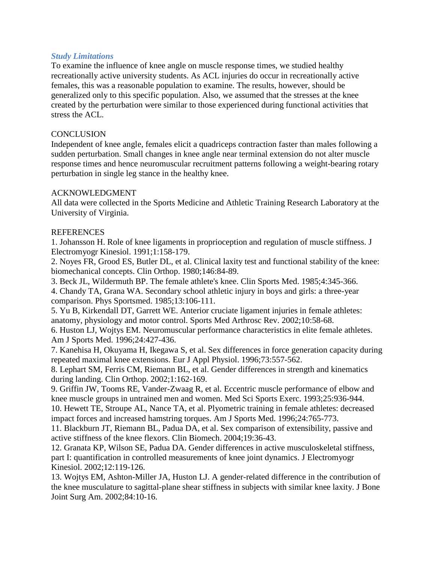## *Study Limitations*

To examine the influence of knee angle on muscle response times, we studied healthy recreationally active university students. As ACL injuries do occur in recreationally active females, this was a reasonable population to examine. The results, however, should be generalized only to this specific population. Also, we assumed that the stresses at the knee created by the perturbation were similar to those experienced during functional activities that stress the ACL.

#### **CONCLUSION**

Independent of knee angle, females elicit a quadriceps contraction faster than males following a sudden perturbation. Small changes in knee angle near terminal extension do not alter muscle response times and hence neuromuscular recruitment patterns following a weight-bearing rotary perturbation in single leg stance in the healthy knee.

#### ACKNOWLEDGMENT

All data were collected in the Sports Medicine and Athletic Training Research Laboratory at the University of Virginia.

#### **REFERENCES**

1. Johansson H. Role of knee ligaments in proprioception and regulation of muscle stiffness. J Electromyogr Kinesiol. 1991;1:158-179.

2. Noyes FR, Grood ES, Butler DL, et al. Clinical laxity test and functional stability of the knee: biomechanical concepts. Clin Orthop. 1980;146:84-89.

3. Beck JL, Wildermuth BP. The female athlete's knee. Clin Sports Med. 1985;4:345-366.

4. Chandy TA, Grana WA. Secondary school athletic injury in boys and girls: a three-year comparison. Phys Sportsmed. 1985;13:106-111.

5. Yu B, Kirkendall DT, Garrett WE. Anterior cruciate ligament injuries in female athletes: anatomy, physiology and motor control. Sports Med Arthrosc Rev. 2002;10:58-68.

6. Huston LJ, Wojtys EM. Neuromuscular performance characteristics in elite female athletes. Am J Sports Med. 1996;24:427-436.

7. Kanehisa H, Okuyama H, Ikegawa S, et al. Sex differences in force generation capacity during repeated maximal knee extensions. Eur J Appl Physiol. 1996;73:557-562.

8. Lephart SM, Ferris CM, Riemann BL, et al. Gender differences in strength and kinematics during landing. Clin Orthop. 2002;1:162-169.

9. Griffin JW, Tooms RE, Vander-Zwaag R, et al. Eccentric muscle performance of elbow and knee muscle groups in untrained men and women. Med Sci Sports Exerc. 1993;25:936-944.

10. Hewett TE, Stroupe AL, Nance TA, et al. Plyometric training in female athletes: decreased impact forces and increased hamstring torques. Am J Sports Med. 1996;24:765-773.

11. Blackburn JT, Riemann BL, Padua DA, et al. Sex comparison of extensibility, passive and active stiffness of the knee flexors. Clin Biomech. 2004;19:36-43.

12. Granata KP, Wilson SE, Padua DA. Gender differences in active musculoskeletal stiffness, part I: quantification in controlled measurements of knee joint dynamics. J Electromyogr Kinesiol. 2002;12:119-126.

13. Wojtys EM, Ashton-Miller JA, Huston LJ. A gender-related difference in the contribution of the knee musculature to sagittal-plane shear stiffness in subjects with similar knee laxity. J Bone Joint Surg Am. 2002;84:10-16.